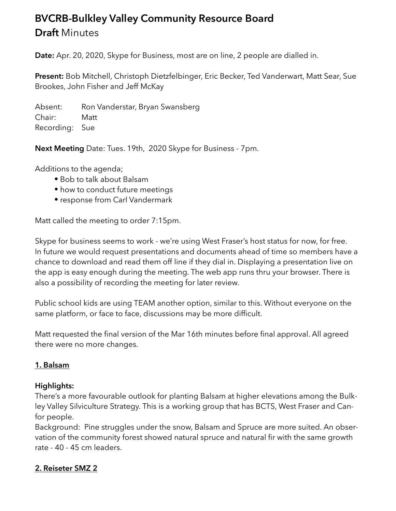# **BVCRB-Bulkley Valley Community Resource Board Draft** Minutes

**Date:** Apr. 20, 2020, Skype for Business, most are on line, 2 people are dialled in.

**Present:** Bob Mitchell, Christoph Dietzfelbinger, Eric Becker, Ted Vanderwart, Matt Sear, Sue Brookes, John Fisher and Jeff McKay

Absent: Ron Vanderstar, Bryan Swansberg Chair: Matt Recording: Sue

**Next Meeting** Date: Tues. 19th, 2020 Skype for Business - 7pm.

Additions to the agenda;

- Bob to talk about Balsam
- how to conduct future meetings
- response from Carl Vandermark

Matt called the meeting to order 7:15pm.

Skype for business seems to work - we're using West Fraser's host status for now, for free. In future we would request presentations and documents ahead of time so members have a chance to download and read them off line if they dial in. Displaying a presentation live on the app is easy enough during the meeting. The web app runs thru your browser. There is also a possibility of recording the meeting for later review.

Public school kids are using TEAM another option, similar to this. Without everyone on the same platform, or face to face, discussions may be more difficult.

Matt requested the final version of the Mar 16th minutes before final approval. All agreed there were no more changes.

## **1. Balsam**

#### **Highlights:**

There's a more favourable outlook for planting Balsam at higher elevations among the Bulkley Valley Silviculture Strategy. This is a working group that has BCTS, West Fraser and Canfor people.

Background: Pine struggles under the snow, Balsam and Spruce are more suited. An observation of the community forest showed natural spruce and natural fir with the same growth rate - 40 - 45 cm leaders.

## **2. Reiseter SMZ 2**